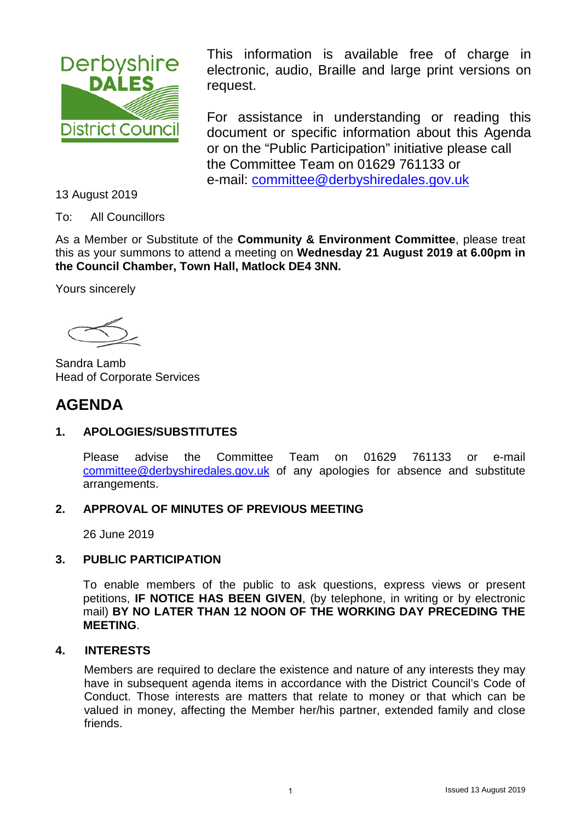<span id="page-0-0"></span>

This information is available free of charge in electronic, audio, Braille and large print versions on request.

For assistance in understanding or reading this document or specific information about this Agenda or on the "Public Participation" initiative please call the Committee Team on 01629 761133 or e-mail: [committee@derbyshiredales.gov.uk](mailto:committee@derbyshiredales.gov.uk) 

13 August 2019

To: All Councillors

As a Member or Substitute of the **Community & Environment Committee**, please treat this as your summons to attend a meeting on **Wednesday 21 August 2019 at 6.00pm in the Council Chamber, Town Hall, Matlock DE4 3NN.**

Yours sincerely

 Sandra Lamb Head of Corporate Services

# **AGENDA**

### **1. APOLOGIES/SUBSTITUTES**

Please advise the Committee Team on 01629 761133 or e-mail [committee@derbyshiredales.gov.uk](mailto:committee@derbyshiredales.gov.uk) of any apologies for absence and substitute arrangements.

#### **2. APPROVAL OF MINUTES OF PREVIOUS MEETING**

26 June 2019

### **3. PUBLIC PARTICIPATION**

To enable members of the public to ask questions, express views or present petitions, **IF NOTICE HAS BEEN GIVEN**, (by telephone, in writing or by electronic mail) **BY NO LATER THAN 12 NOON OF THE WORKING DAY PRECEDING THE MEETING**.

#### **4. INTERESTS**

Members are required to declare the existence and nature of any interests they may have in subsequent agenda items in accordance with the District Council's Code of Conduct. Those interests are matters that relate to money or that which can be valued in money, affecting the Member her/his partner, extended family and close friends.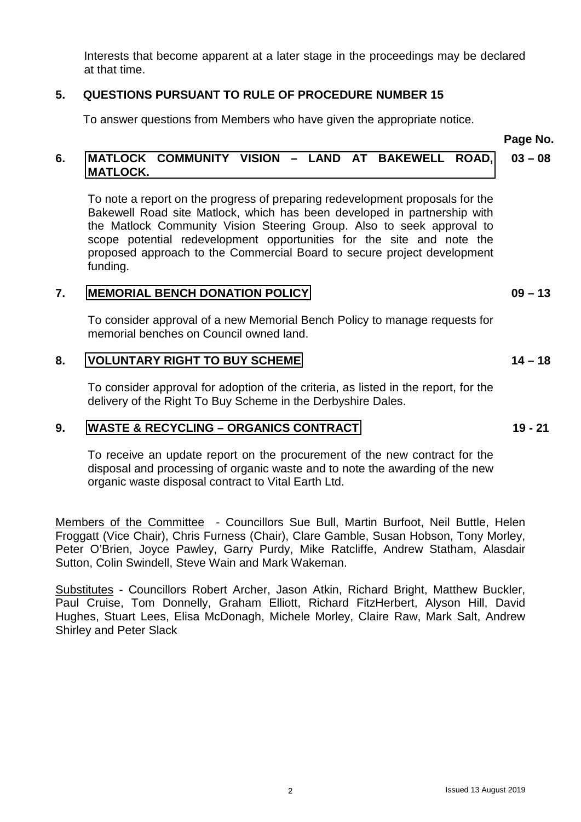Interests that become apparent at a later stage in the proceedings may be declared at that time.

#### **5. QUESTIONS PURSUANT TO RULE OF PROCEDURE NUMBER 15**

To answer questions from Members who have given the appropriate notice.

**Page No.**

#### **6. [MATLOCK COMMUNITY VISION –](#page-2-0) LAND AT BAKEWELL ROAD, MATLOCK. 03 – 08**

To note a report on the progress of preparing redevelopment proposals for the Bakewell Road site Matlock, which has been developed in partnership with the Matlock Community Vision Steering Group. Also to seek approval to scope potential redevelopment opportunities for the site and note the proposed approach to the Commercial Board to secure project development funding.

#### **7. [MEMORIAL BENCH DONATION POLICY](#page-8-0)**

To consider approval of a new Memorial Bench Policy to manage requests for memorial benches on Council owned land.

#### **8. [VOLUNTARY RIGHT TO BUY SCHEME](#page-13-0)**

To consider approval for adoption of the criteria, as listed in the report, for the delivery of the Right To Buy Scheme in the Derbyshire Dales.

#### **9. [WASTE & RECYCLING –](#page-18-0) ORGANICS CONTRACT**

To receive an update report on the procurement of the new contract for the disposal and processing of organic waste and to note the awarding of the new organic waste disposal contract to Vital Earth Ltd.

Members of the Committee - Councillors Sue Bull, Martin Burfoot, Neil Buttle, Helen Froggatt (Vice Chair), Chris Furness (Chair), Clare Gamble, Susan Hobson, Tony Morley, Peter O'Brien, Joyce Pawley, Garry Purdy, Mike Ratcliffe, Andrew Statham, Alasdair Sutton, Colin Swindell, Steve Wain and Mark Wakeman.

Substitutes - Councillors Robert Archer, Jason Atkin, Richard Bright, Matthew Buckler, Paul Cruise, Tom Donnelly, Graham Elliott, Richard FitzHerbert, Alyson Hill, David Hughes, Stuart Lees, Elisa McDonagh, Michele Morley, Claire Raw, Mark Salt, Andrew Shirley and Peter Slack

**09 – 13**

**14 – 18**

**19 - 21**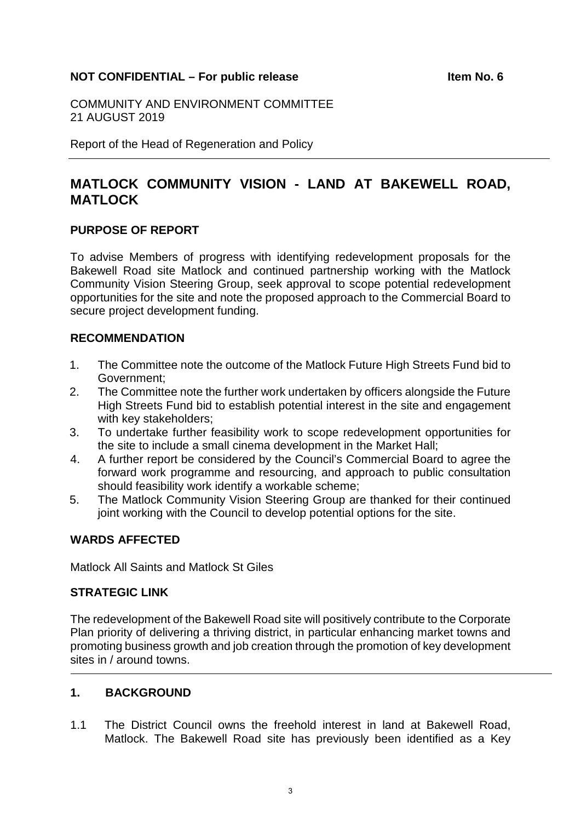#### <span id="page-2-0"></span>**NOT CONFIDENTIAL – For public release Internal and Service Confidential Article in the No. 6**

COMMUNITY AND ENVIRONMENT COMMITTEE 21 AUGUST 2019

Report of the Head of Regeneration and Policy

## **MATLOCK COMMUNITY VISION - LAND AT BAKEWELL ROAD, MATLOCK**

#### **PURPOSE OF REPORT**

To advise Members of progress with identifying redevelopment proposals for the Bakewell Road site Matlock and continued partnership working with the Matlock Community Vision Steering Group, seek approval to scope potential redevelopment opportunities for the site and note the proposed approach to the Commercial Board to secure project development funding.

#### **RECOMMENDATION**

- 1. The Committee note the outcome of the Matlock Future High Streets Fund bid to Government;
- 2. The Committee note the further work undertaken by officers alongside the Future High Streets Fund bid to establish potential interest in the site and engagement with key stakeholders;
- 3. To undertake further feasibility work to scope redevelopment opportunities for the site to include a small cinema development in the Market Hall;
- 4. A further report be considered by the Council's Commercial Board to agree the forward work programme and resourcing, and approach to public consultation should feasibility work identify a workable scheme;
- 5. The Matlock Community Vision Steering Group are thanked for their continued joint working with the Council to develop potential options for the site.

#### **WARDS AFFECTED**

Matlock All Saints and Matlock St Giles

#### **STRATEGIC LINK**

The redevelopment of the Bakewell Road site will positively contribute to the Corporate Plan priority of delivering a thriving district, in particular enhancing market towns and promoting business growth and job creation through the promotion of key development sites in / around towns.

#### **1. BACKGROUND**

1.1 The District Council owns the freehold interest in land at Bakewell Road, Matlock. The Bakewell Road site has previously been identified as a Key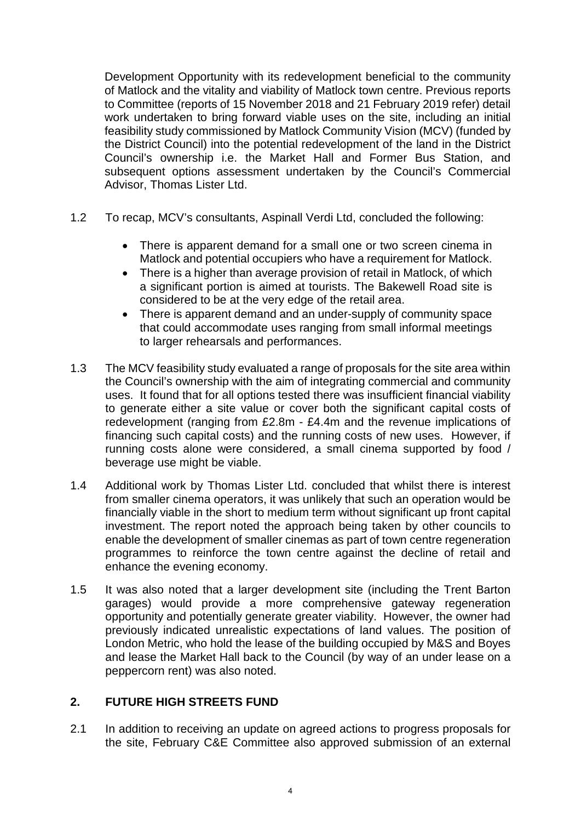Development Opportunity with its redevelopment beneficial to the community of Matlock and the vitality and viability of Matlock town centre. Previous reports to Committee (reports of 15 November 2018 and 21 February 2019 refer) detail work undertaken to bring forward viable uses on the site, including an initial feasibility study commissioned by Matlock Community Vision (MCV) (funded by the District Council) into the potential redevelopment of the land in the District Council's ownership i.e. the Market Hall and Former Bus Station, and subsequent options assessment undertaken by the Council's Commercial Advisor, Thomas Lister Ltd.

- 1.2 To recap, MCV's consultants, Aspinall Verdi Ltd, concluded the following:
	- There is apparent demand for a small one or two screen cinema in Matlock and potential occupiers who have a requirement for Matlock.
	- There is a higher than average provision of retail in Matlock, of which a significant portion is aimed at tourists. The Bakewell Road site is considered to be at the very edge of the retail area.
	- There is apparent demand and an under-supply of community space that could accommodate uses ranging from small informal meetings to larger rehearsals and performances.
- 1.3 The MCV feasibility study evaluated a range of proposals for the site area within the Council's ownership with the aim of integrating commercial and community uses. It found that for all options tested there was insufficient financial viability to generate either a site value or cover both the significant capital costs of redevelopment (ranging from £2.8m - £4.4m and the revenue implications of financing such capital costs) and the running costs of new uses. However, if running costs alone were considered, a small cinema supported by food / beverage use might be viable.
- 1.4 Additional work by Thomas Lister Ltd. concluded that whilst there is interest from smaller cinema operators, it was unlikely that such an operation would be financially viable in the short to medium term without significant up front capital investment. The report noted the approach being taken by other councils to enable the development of smaller cinemas as part of town centre regeneration programmes to reinforce the town centre against the decline of retail and enhance the evening economy.
- 1.5 It was also noted that a larger development site (including the Trent Barton garages) would provide a more comprehensive gateway regeneration opportunity and potentially generate greater viability. However, the owner had previously indicated unrealistic expectations of land values. The position of London Metric, who hold the lease of the building occupied by M&S and Boyes and lease the Market Hall back to the Council (by way of an under lease on a peppercorn rent) was also noted.

#### **2. FUTURE HIGH STREETS FUND**

2.1 In addition to receiving an update on agreed actions to progress proposals for the site, February C&E Committee also approved submission of an external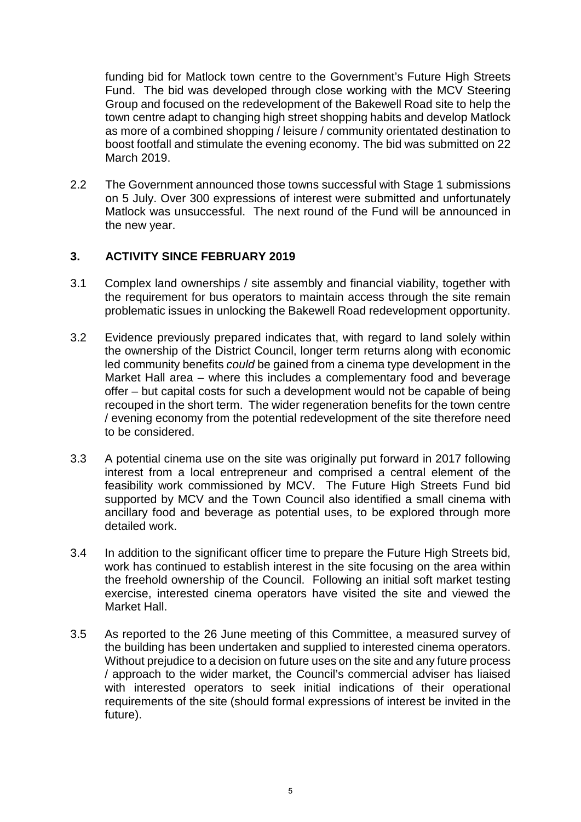funding bid for Matlock town centre to the Government's Future High Streets Fund. The bid was developed through close working with the MCV Steering Group and focused on the redevelopment of the Bakewell Road site to help the town centre adapt to changing high street shopping habits and develop Matlock as more of a combined shopping / leisure / community orientated destination to boost footfall and stimulate the evening economy. The bid was submitted on 22 March 2019.

2.2 The Government announced those towns successful with Stage 1 submissions on 5 July. Over 300 expressions of interest were submitted and unfortunately Matlock was unsuccessful. The next round of the Fund will be announced in the new year.

### **3. ACTIVITY SINCE FEBRUARY 2019**

- 3.1 Complex land ownerships / site assembly and financial viability, together with the requirement for bus operators to maintain access through the site remain problematic issues in unlocking the Bakewell Road redevelopment opportunity.
- 3.2 Evidence previously prepared indicates that, with regard to land solely within the ownership of the District Council, longer term returns along with economic led community benefits *could* be gained from a cinema type development in the Market Hall area – where this includes a complementary food and beverage offer – but capital costs for such a development would not be capable of being recouped in the short term. The wider regeneration benefits for the town centre / evening economy from the potential redevelopment of the site therefore need to be considered.
- 3.3 A potential cinema use on the site was originally put forward in 2017 following interest from a local entrepreneur and comprised a central element of the feasibility work commissioned by MCV. The Future High Streets Fund bid supported by MCV and the Town Council also identified a small cinema with ancillary food and beverage as potential uses, to be explored through more detailed work.
- 3.4 In addition to the significant officer time to prepare the Future High Streets bid, work has continued to establish interest in the site focusing on the area within the freehold ownership of the Council. Following an initial soft market testing exercise, interested cinema operators have visited the site and viewed the Market Hall.
- 3.5 As reported to the 26 June meeting of this Committee, a measured survey of the building has been undertaken and supplied to interested cinema operators. Without prejudice to a decision on future uses on the site and any future process / approach to the wider market, the Council's commercial adviser has liaised with interested operators to seek initial indications of their operational requirements of the site (should formal expressions of interest be invited in the future).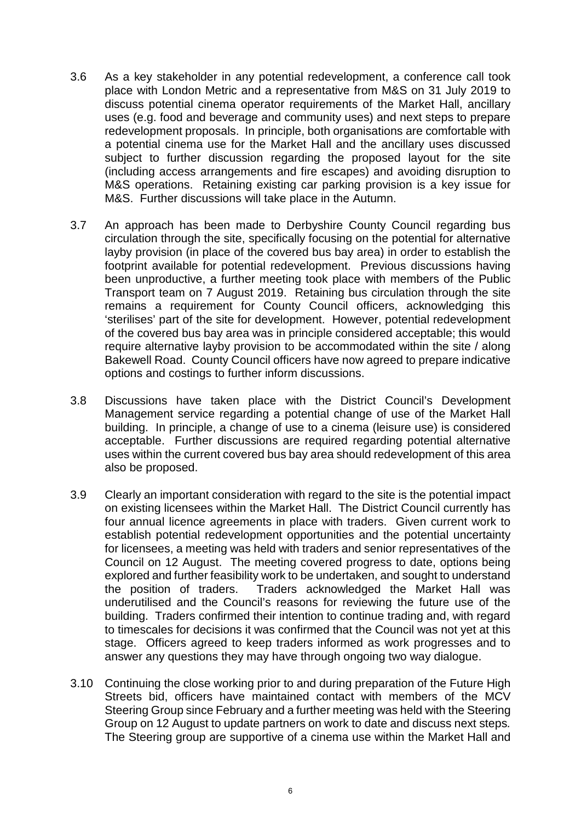- 3.6 As a key stakeholder in any potential redevelopment, a conference call took place with London Metric and a representative from M&S on 31 July 2019 to discuss potential cinema operator requirements of the Market Hall, ancillary uses (e.g. food and beverage and community uses) and next steps to prepare redevelopment proposals. In principle, both organisations are comfortable with a potential cinema use for the Market Hall and the ancillary uses discussed subject to further discussion regarding the proposed layout for the site (including access arrangements and fire escapes) and avoiding disruption to M&S operations. Retaining existing car parking provision is a key issue for M&S. Further discussions will take place in the Autumn.
- 3.7 An approach has been made to Derbyshire County Council regarding bus circulation through the site, specifically focusing on the potential for alternative layby provision (in place of the covered bus bay area) in order to establish the footprint available for potential redevelopment. Previous discussions having been unproductive, a further meeting took place with members of the Public Transport team on 7 August 2019. Retaining bus circulation through the site remains a requirement for County Council officers, acknowledging this 'sterilises' part of the site for development. However, potential redevelopment of the covered bus bay area was in principle considered acceptable; this would require alternative layby provision to be accommodated within the site / along Bakewell Road. County Council officers have now agreed to prepare indicative options and costings to further inform discussions.
- 3.8 Discussions have taken place with the District Council's Development Management service regarding a potential change of use of the Market Hall building. In principle, a change of use to a cinema (leisure use) is considered acceptable. Further discussions are required regarding potential alternative uses within the current covered bus bay area should redevelopment of this area also be proposed.
- 3.9 Clearly an important consideration with regard to the site is the potential impact on existing licensees within the Market Hall. The District Council currently has four annual licence agreements in place with traders. Given current work to establish potential redevelopment opportunities and the potential uncertainty for licensees, a meeting was held with traders and senior representatives of the Council on 12 August. The meeting covered progress to date, options being explored and further feasibility work to be undertaken, and sought to understand the position of traders. Traders acknowledged the Market Hall was underutilised and the Council's reasons for reviewing the future use of the building. Traders confirmed their intention to continue trading and, with regard to timescales for decisions it was confirmed that the Council was not yet at this stage. Officers agreed to keep traders informed as work progresses and to answer any questions they may have through ongoing two way dialogue.
- 3.10 Continuing the close working prior to and during preparation of the Future High Streets bid, officers have maintained contact with members of the MCV Steering Group since February and a further meeting was held with the Steering Group on 12 August to update partners on work to date and discuss next steps*.*  The Steering group are supportive of a cinema use within the Market Hall and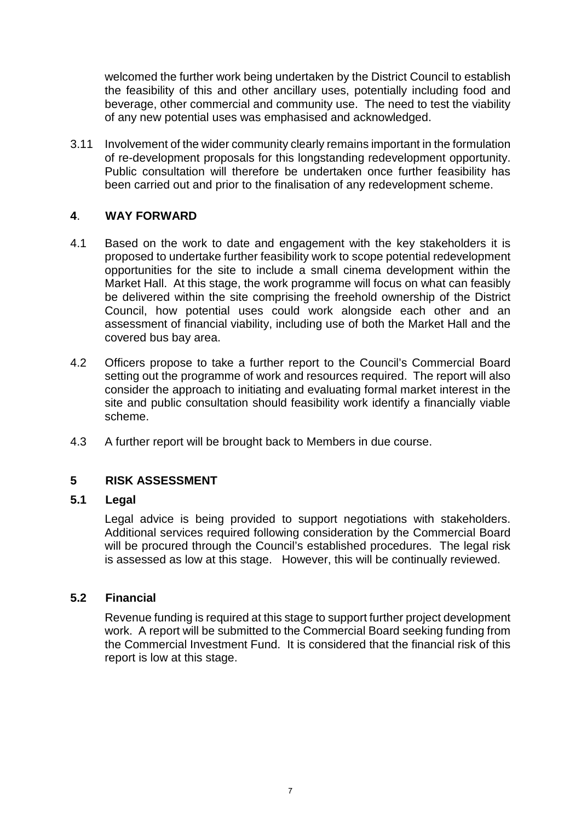welcomed the further work being undertaken by the District Council to establish the feasibility of this and other ancillary uses, potentially including food and beverage, other commercial and community use. The need to test the viability of any new potential uses was emphasised and acknowledged.

3.11 Involvement of the wider community clearly remains important in the formulation of re-development proposals for this longstanding redevelopment opportunity. Public consultation will therefore be undertaken once further feasibility has been carried out and prior to the finalisation of any redevelopment scheme.

#### **4**. **WAY FORWARD**

- 4.1 Based on the work to date and engagement with the key stakeholders it is proposed to undertake further feasibility work to scope potential redevelopment opportunities for the site to include a small cinema development within the Market Hall. At this stage, the work programme will focus on what can feasibly be delivered within the site comprising the freehold ownership of the District Council, how potential uses could work alongside each other and an assessment of financial viability, including use of both the Market Hall and the covered bus bay area.
- 4.2 Officers propose to take a further report to the Council's Commercial Board setting out the programme of work and resources required. The report will also consider the approach to initiating and evaluating formal market interest in the site and public consultation should feasibility work identify a financially viable scheme.
- 4.3 A further report will be brought back to Members in due course.

### **5 RISK ASSESSMENT**

#### **5.1 Legal**

Legal advice is being provided to support negotiations with stakeholders. Additional services required following consideration by the Commercial Board will be procured through the Council's established procedures. The legal risk is assessed as low at this stage. However, this will be continually reviewed.

#### **5.2 Financial**

Revenue funding is required at this stage to support further project development work. A report will be submitted to the Commercial Board seeking funding from the Commercial Investment Fund. It is considered that the financial risk of this report is low at this stage.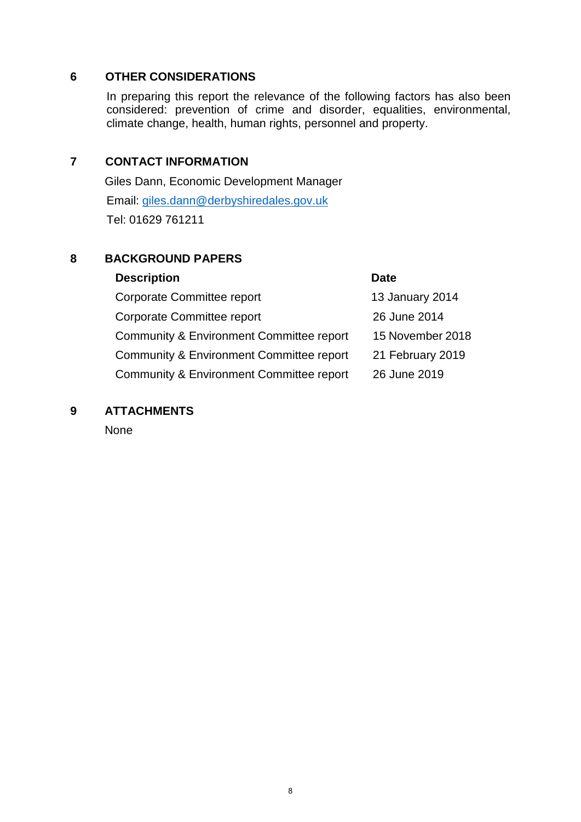#### **6 OTHER CONSIDERATIONS**

In preparing this report the relevance of the following factors has also been considered: prevention of crime and disorder, equalities, environmental, climate change, health, human rights, personnel and property.

#### **7 CONTACT INFORMATION**

Giles Dann, Economic Development Manager Email: [giles.dann@derbyshiredales.gov.uk](mailto:giles.dann@derbyshiredales.gov.uk) Tel: 01629 761211

#### **8 BACKGROUND PAPERS**

#### **Description Date**

Corporate Committee report 13 January 2014 Corporate Committee report 26 June 2014 Community & Environment Committee report 15 November 2018 Community & Environment Committee report 21 February 2019 Community & Environment Committee report 26 June 2019

#### **9 ATTACHMENTS**

None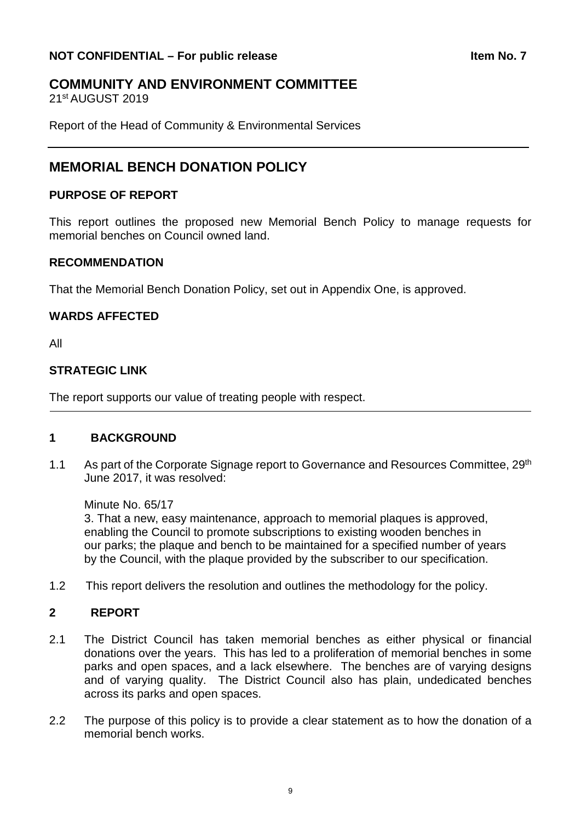## <span id="page-8-0"></span>**COMMUNITY AND ENVIRONMENT COMMITTEE**

21st AUGUST 2019

Report of the Head of Community & Environmental Services

## **MEMORIAL BENCH DONATION POLICY**

#### **PURPOSE OF REPORT**

This report outlines the proposed new Memorial Bench Policy to manage requests for memorial benches on Council owned land.

#### **RECOMMENDATION**

That the Memorial Bench Donation Policy, set out in Appendix One, is approved.

#### **WARDS AFFECTED**

All

#### **STRATEGIC LINK**

The report supports our value of treating people with respect.

#### **1 BACKGROUND**

1.1 As part of the Corporate Signage report to Governance and Resources Committee, 29<sup>th</sup> June 2017, it was resolved:

Minute No. 65/17

3. That a new, easy maintenance, approach to memorial plaques is approved, enabling the Council to promote subscriptions to existing wooden benches in our parks; the plaque and bench to be maintained for a specified number of years by the Council, with the plaque provided by the subscriber to our specification.

1.2 This report delivers the resolution and outlines the methodology for the policy.

#### **2 REPORT**

- 2.1 The District Council has taken memorial benches as either physical or financial donations over the years. This has led to a proliferation of memorial benches in some parks and open spaces, and a lack elsewhere. The benches are of varying designs and of varying quality. The District Council also has plain, undedicated benches across its parks and open spaces.
- 2.2 The purpose of this policy is to provide a clear statement as to how the donation of a memorial bench works.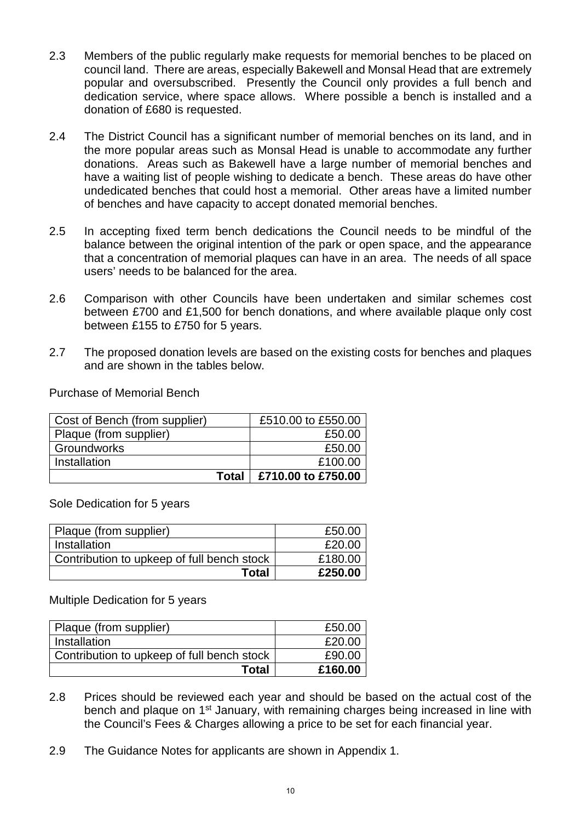- 2.3 Members of the public regularly make requests for memorial benches to be placed on council land. There are areas, especially Bakewell and Monsal Head that are extremely popular and oversubscribed. Presently the Council only provides a full bench and dedication service, where space allows. Where possible a bench is installed and a donation of £680 is requested.
- 2.4 The District Council has a significant number of memorial benches on its land, and in the more popular areas such as Monsal Head is unable to accommodate any further donations. Areas such as Bakewell have a large number of memorial benches and have a waiting list of people wishing to dedicate a bench. These areas do have other undedicated benches that could host a memorial. Other areas have a limited number of benches and have capacity to accept donated memorial benches.
- 2.5 In accepting fixed term bench dedications the Council needs to be mindful of the balance between the original intention of the park or open space, and the appearance that a concentration of memorial plaques can have in an area. The needs of all space users' needs to be balanced for the area.
- 2.6 Comparison with other Councils have been undertaken and similar schemes cost between £700 and £1,500 for bench donations, and where available plaque only cost between £155 to £750 for 5 years.
- 2.7 The proposed donation levels are based on the existing costs for benches and plaques and are shown in the tables below.

Purchase of Memorial Bench

| Cost of Bench (from supplier) | £510.00 to £550.00 |
|-------------------------------|--------------------|
| Plaque (from supplier)        | £50.00             |
| Groundworks                   | £50.00             |
| Installation                  | £100.00            |
| Total                         | £710.00 to £750.00 |

Sole Dedication for 5 years

| Plaque (from supplier)                     | £50.00  |
|--------------------------------------------|---------|
| Installation                               | £20.00  |
| Contribution to upkeep of full bench stock | £180.00 |
| Total                                      | £250.00 |

Multiple Dedication for 5 years

| Plaque (from supplier)                     | £50.00  |
|--------------------------------------------|---------|
| Installation                               | £20.00  |
| Contribution to upkeep of full bench stock | £90.00  |
| <b>Total</b>                               | £160.00 |

- 2.8 Prices should be reviewed each year and should be based on the actual cost of the bench and plaque on 1<sup>st</sup> January, with remaining charges being increased in line with the Council's Fees & Charges allowing a price to be set for each financial year.
- 2.9 The Guidance Notes for applicants are shown in Appendix 1.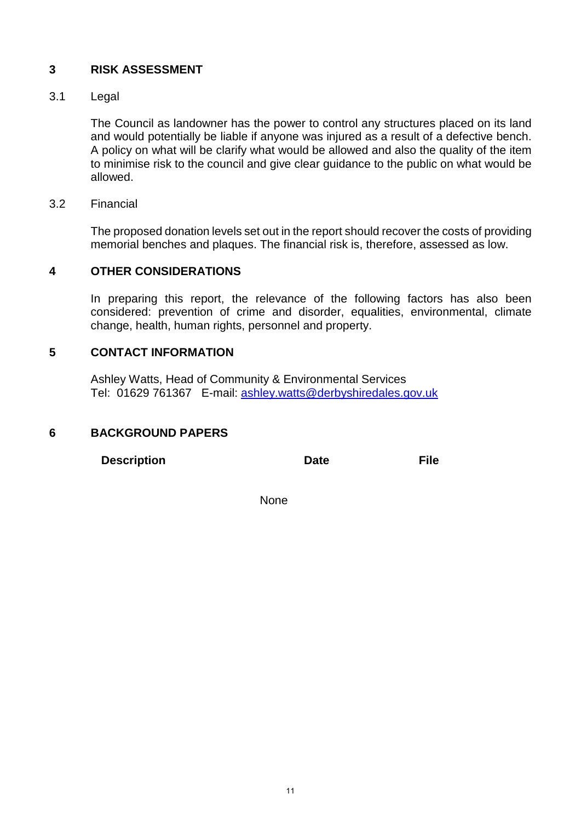#### **3 RISK ASSESSMENT**

#### 3.1 Legal

The Council as landowner has the power to control any structures placed on its land and would potentially be liable if anyone was injured as a result of a defective bench. A policy on what will be clarify what would be allowed and also the quality of the item to minimise risk to the council and give clear guidance to the public on what would be allowed.

#### 3.2 Financial

The proposed donation levels set out in the report should recover the costs of providing memorial benches and plaques. The financial risk is, therefore, assessed as low.

#### **4 OTHER CONSIDERATIONS**

In preparing this report, the relevance of the following factors has also been considered: prevention of crime and disorder, equalities, environmental, climate change, health, human rights, personnel and property.

#### **5 CONTACT INFORMATION**

Ashley Watts, Head of Community & Environmental Services Tel: 01629 761367 E-mail: [ashley.watts@derbyshiredales.gov.uk](mailto:ashley.watts@derbyshiredales.gov.uk) 

#### **6 BACKGROUND PAPERS**

**Description Date File** 

non-state and the contract of the None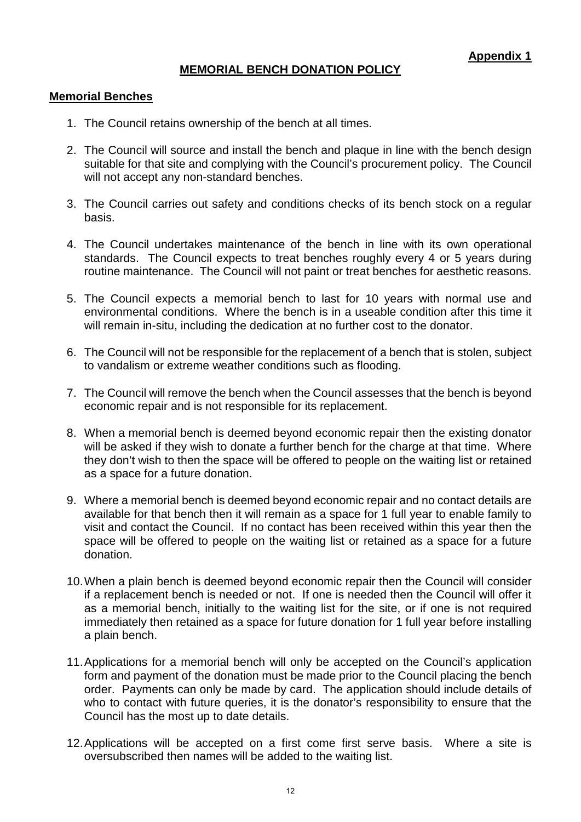#### **MEMORIAL BENCH DONATION POLICY**

#### **Memorial Benches**

- 1. The Council retains ownership of the bench at all times.
- 2. The Council will source and install the bench and plaque in line with the bench design suitable for that site and complying with the Council's procurement policy. The Council will not accept any non-standard benches.
- 3. The Council carries out safety and conditions checks of its bench stock on a regular basis.
- 4. The Council undertakes maintenance of the bench in line with its own operational standards. The Council expects to treat benches roughly every 4 or 5 years during routine maintenance. The Council will not paint or treat benches for aesthetic reasons.
- 5. The Council expects a memorial bench to last for 10 years with normal use and environmental conditions. Where the bench is in a useable condition after this time it will remain in-situ, including the dedication at no further cost to the donator.
- 6. The Council will not be responsible for the replacement of a bench that is stolen, subject to vandalism or extreme weather conditions such as flooding.
- 7. The Council will remove the bench when the Council assesses that the bench is beyond economic repair and is not responsible for its replacement.
- 8. When a memorial bench is deemed beyond economic repair then the existing donator will be asked if they wish to donate a further bench for the charge at that time. Where they don't wish to then the space will be offered to people on the waiting list or retained as a space for a future donation.
- 9. Where a memorial bench is deemed beyond economic repair and no contact details are available for that bench then it will remain as a space for 1 full year to enable family to visit and contact the Council. If no contact has been received within this year then the space will be offered to people on the waiting list or retained as a space for a future donation.
- 10.When a plain bench is deemed beyond economic repair then the Council will consider if a replacement bench is needed or not. If one is needed then the Council will offer it as a memorial bench, initially to the waiting list for the site, or if one is not required immediately then retained as a space for future donation for 1 full year before installing a plain bench.
- 11.Applications for a memorial bench will only be accepted on the Council's application form and payment of the donation must be made prior to the Council placing the bench order. Payments can only be made by card. The application should include details of who to contact with future queries, it is the donator's responsibility to ensure that the Council has the most up to date details.
- 12.Applications will be accepted on a first come first serve basis. Where a site is oversubscribed then names will be added to the waiting list.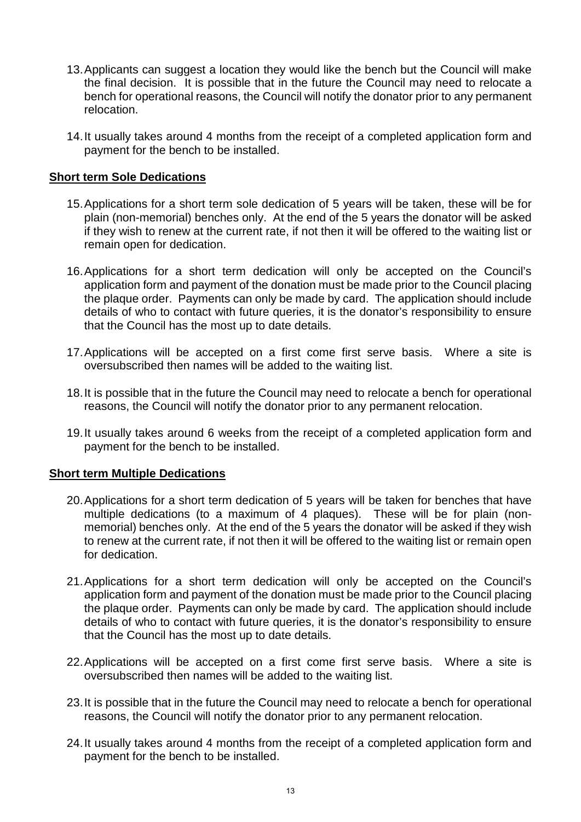- 13.Applicants can suggest a location they would like the bench but the Council will make the final decision. It is possible that in the future the Council may need to relocate a bench for operational reasons, the Council will notify the donator prior to any permanent relocation.
- 14.It usually takes around 4 months from the receipt of a completed application form and payment for the bench to be installed.

#### **Short term Sole Dedications**

- 15.Applications for a short term sole dedication of 5 years will be taken, these will be for plain (non-memorial) benches only. At the end of the 5 years the donator will be asked if they wish to renew at the current rate, if not then it will be offered to the waiting list or remain open for dedication.
- 16.Applications for a short term dedication will only be accepted on the Council's application form and payment of the donation must be made prior to the Council placing the plaque order. Payments can only be made by card. The application should include details of who to contact with future queries, it is the donator's responsibility to ensure that the Council has the most up to date details.
- 17.Applications will be accepted on a first come first serve basis. Where a site is oversubscribed then names will be added to the waiting list.
- 18.It is possible that in the future the Council may need to relocate a bench for operational reasons, the Council will notify the donator prior to any permanent relocation.
- 19.It usually takes around 6 weeks from the receipt of a completed application form and payment for the bench to be installed.

#### **Short term Multiple Dedications**

- 20.Applications for a short term dedication of 5 years will be taken for benches that have multiple dedications (to a maximum of 4 plaques). These will be for plain (nonmemorial) benches only. At the end of the 5 years the donator will be asked if they wish to renew at the current rate, if not then it will be offered to the waiting list or remain open for dedication.
- 21.Applications for a short term dedication will only be accepted on the Council's application form and payment of the donation must be made prior to the Council placing the plaque order. Payments can only be made by card. The application should include details of who to contact with future queries, it is the donator's responsibility to ensure that the Council has the most up to date details.
- 22.Applications will be accepted on a first come first serve basis. Where a site is oversubscribed then names will be added to the waiting list.
- 23.It is possible that in the future the Council may need to relocate a bench for operational reasons, the Council will notify the donator prior to any permanent relocation.
- 24.It usually takes around 4 months from the receipt of a completed application form and payment for the bench to be installed.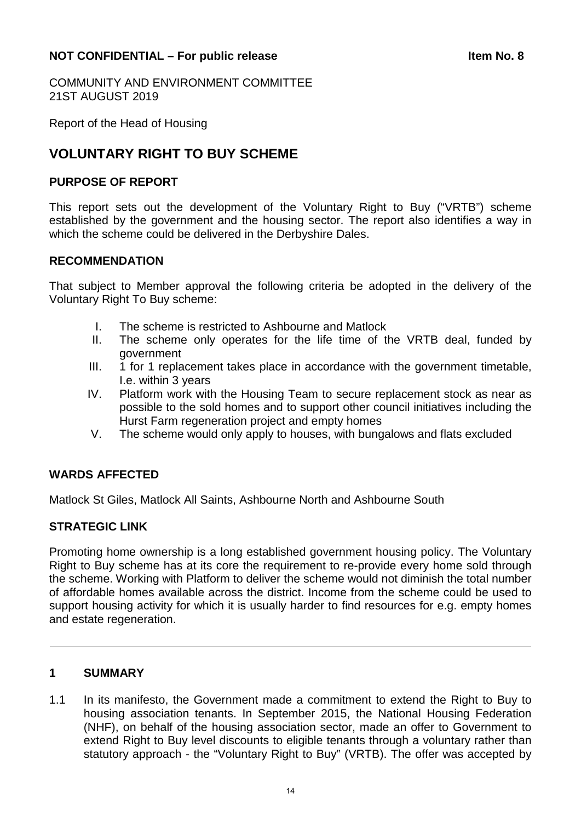#### <span id="page-13-0"></span>**NOT CONFIDENTIAL – For public release <b>Internal CONFIDENTIAL** – For public release

COMMUNITY AND ENVIRONMENT COMMITTEE 21ST AUGUST 2019

Report of the Head of Housing

## **VOLUNTARY RIGHT TO BUY SCHEME**

#### **PURPOSE OF REPORT**

This report sets out the development of the Voluntary Right to Buy ("VRTB") scheme established by the government and the housing sector. The report also identifies a way in which the scheme could be delivered in the Derbyshire Dales.

#### **RECOMMENDATION**

That subject to Member approval the following criteria be adopted in the delivery of the Voluntary Right To Buy scheme:

- I. The scheme is restricted to Ashbourne and Matlock
- II. The scheme only operates for the life time of the VRTB deal, funded by government
- III. 1 for 1 replacement takes place in accordance with the government timetable, I.e. within 3 years
- IV. Platform work with the Housing Team to secure replacement stock as near as possible to the sold homes and to support other council initiatives including the Hurst Farm regeneration project and empty homes
- V. The scheme would only apply to houses, with bungalows and flats excluded

#### **WARDS AFFECTED**

Matlock St Giles, Matlock All Saints, Ashbourne North and Ashbourne South

#### **STRATEGIC LINK**

Promoting home ownership is a long established government housing policy. The Voluntary Right to Buy scheme has at its core the requirement to re-provide every home sold through the scheme. Working with Platform to deliver the scheme would not diminish the total number of affordable homes available across the district. Income from the scheme could be used to support housing activity for which it is usually harder to find resources for e.g. empty homes and estate regeneration.

#### **1 SUMMARY**

1.1 In its manifesto, the Government made a commitment to extend the Right to Buy to housing association tenants. In September 2015, the National Housing Federation (NHF), on behalf of the housing association sector, made an offer to Government to extend Right to Buy level discounts to eligible tenants through a voluntary rather than statutory approach - the "Voluntary Right to Buy" (VRTB). The offer was accepted by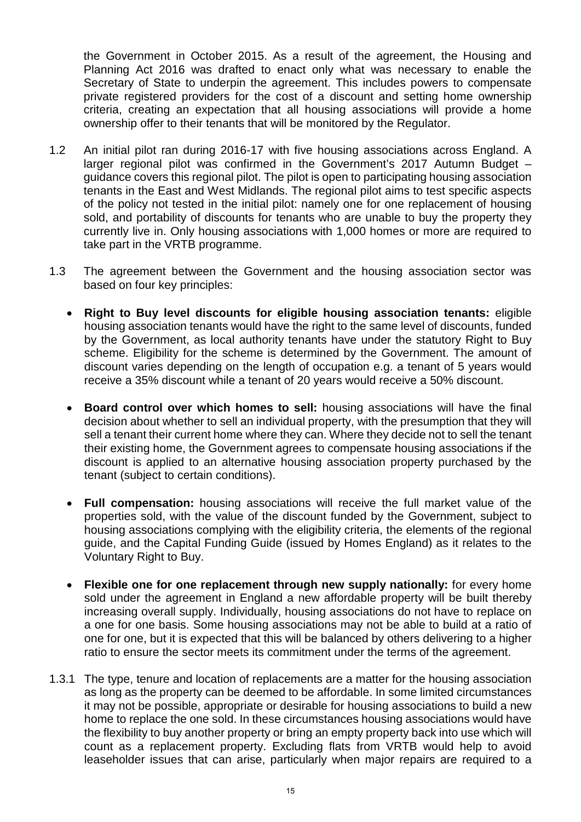the Government in October 2015. As a result of the agreement, the Housing and Planning Act 2016 was drafted to enact only what was necessary to enable the Secretary of State to underpin the agreement. This includes powers to compensate private registered providers for the cost of a discount and setting home ownership criteria, creating an expectation that all housing associations will provide a home ownership offer to their tenants that will be monitored by the Regulator.

- 1.2 An initial pilot ran during 2016-17 with five housing associations across England. A larger regional pilot was confirmed in the Government's 2017 Autumn Budget – guidance covers this regional pilot. The pilot is open to participating housing association tenants in the East and West Midlands. The regional pilot aims to test specific aspects of the policy not tested in the initial pilot: namely one for one replacement of housing sold, and portability of discounts for tenants who are unable to buy the property they currently live in. Only housing associations with 1,000 homes or more are required to take part in the VRTB programme.
- 1.3 The agreement between the Government and the housing association sector was based on four key principles:
	- **Right to Buy level discounts for eligible housing association tenants:** eligible housing association tenants would have the right to the same level of discounts, funded by the Government, as local authority tenants have under the statutory Right to Buy scheme. Eligibility for the scheme is determined by the Government. The amount of discount varies depending on the length of occupation e.g. a tenant of 5 years would receive a 35% discount while a tenant of 20 years would receive a 50% discount.
	- **Board control over which homes to sell:** housing associations will have the final decision about whether to sell an individual property, with the presumption that they will sell a tenant their current home where they can. Where they decide not to sell the tenant their existing home, the Government agrees to compensate housing associations if the discount is applied to an alternative housing association property purchased by the tenant (subject to certain conditions).
	- **Full compensation:** housing associations will receive the full market value of the properties sold, with the value of the discount funded by the Government, subject to housing associations complying with the eligibility criteria, the elements of the regional guide, and the Capital Funding Guide (issued by Homes England) as it relates to the Voluntary Right to Buy.
	- **Flexible one for one replacement through new supply nationally:** for every home sold under the agreement in England a new affordable property will be built thereby increasing overall supply. Individually, housing associations do not have to replace on a one for one basis. Some housing associations may not be able to build at a ratio of one for one, but it is expected that this will be balanced by others delivering to a higher ratio to ensure the sector meets its commitment under the terms of the agreement.
- 1.3.1 The type, tenure and location of replacements are a matter for the housing association as long as the property can be deemed to be affordable. In some limited circumstances it may not be possible, appropriate or desirable for housing associations to build a new home to replace the one sold. In these circumstances housing associations would have the flexibility to buy another property or bring an empty property back into use which will count as a replacement property. Excluding flats from VRTB would help to avoid leaseholder issues that can arise, particularly when major repairs are required to a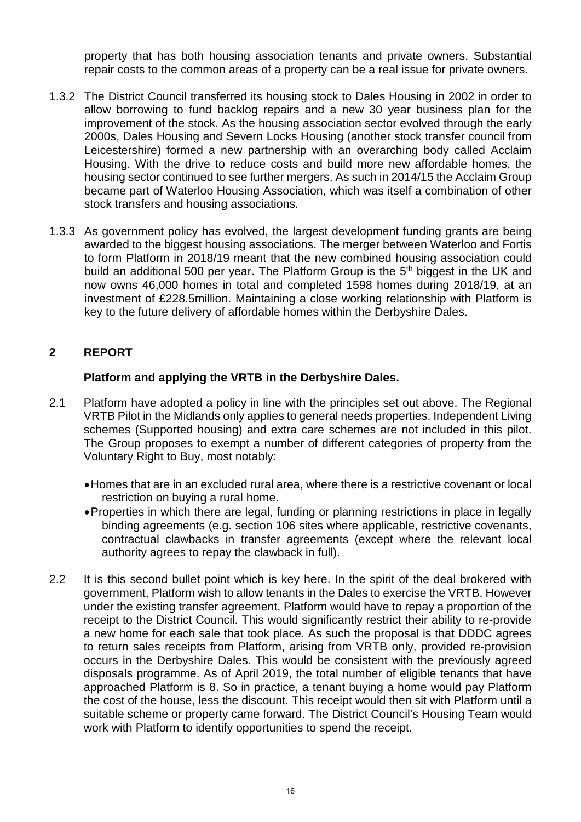property that has both housing association tenants and private owners. Substantial repair costs to the common areas of a property can be a real issue for private owners.

- 1.3.2 The District Council transferred its housing stock to Dales Housing in 2002 in order to allow borrowing to fund backlog repairs and a new 30 year business plan for the improvement of the stock. As the housing association sector evolved through the early 2000s, Dales Housing and Severn Locks Housing (another stock transfer council from Leicestershire) formed a new partnership with an overarching body called Acclaim Housing. With the drive to reduce costs and build more new affordable homes, the housing sector continued to see further mergers. As such in 2014/15 the Acclaim Group became part of Waterloo Housing Association, which was itself a combination of other stock transfers and housing associations.
- 1.3.3 As government policy has evolved, the largest development funding grants are being awarded to the biggest housing associations. The merger between Waterloo and Fortis to form Platform in 2018/19 meant that the new combined housing association could build an additional 500 per year. The Platform Group is the 5<sup>th</sup> biggest in the UK and now owns 46,000 homes in total and completed 1598 homes during 2018/19, at an investment of £228.5million. Maintaining a close working relationship with Platform is key to the future delivery of affordable homes within the Derbyshire Dales.

#### **2 REPORT**

#### **Platform and applying the VRTB in the Derbyshire Dales.**

- 2.1 Platform have adopted a policy in line with the principles set out above. The Regional VRTB Pilot in the Midlands only applies to general needs properties. Independent Living schemes (Supported housing) and extra care schemes are not included in this pilot. The Group proposes to exempt a number of different categories of property from the Voluntary Right to Buy, most notably:
	- •Homes that are in an excluded rural area, where there is a restrictive covenant or local restriction on buying a rural home.
	- •Properties in which there are legal, funding or planning restrictions in place in legally binding agreements (e.g. section 106 sites where applicable, restrictive covenants, contractual clawbacks in transfer agreements (except where the relevant local authority agrees to repay the clawback in full).
- 2.2 It is this second bullet point which is key here. In the spirit of the deal brokered with government, Platform wish to allow tenants in the Dales to exercise the VRTB. However under the existing transfer agreement, Platform would have to repay a proportion of the receipt to the District Council. This would significantly restrict their ability to re-provide a new home for each sale that took place. As such the proposal is that DDDC agrees to return sales receipts from Platform, arising from VRTB only, provided re-provision occurs in the Derbyshire Dales. This would be consistent with the previously agreed disposals programme. As of April 2019, the total number of eligible tenants that have approached Platform is 8. So in practice, a tenant buying a home would pay Platform the cost of the house, less the discount. This receipt would then sit with Platform until a suitable scheme or property came forward. The District Council's Housing Team would work with Platform to identify opportunities to spend the receipt.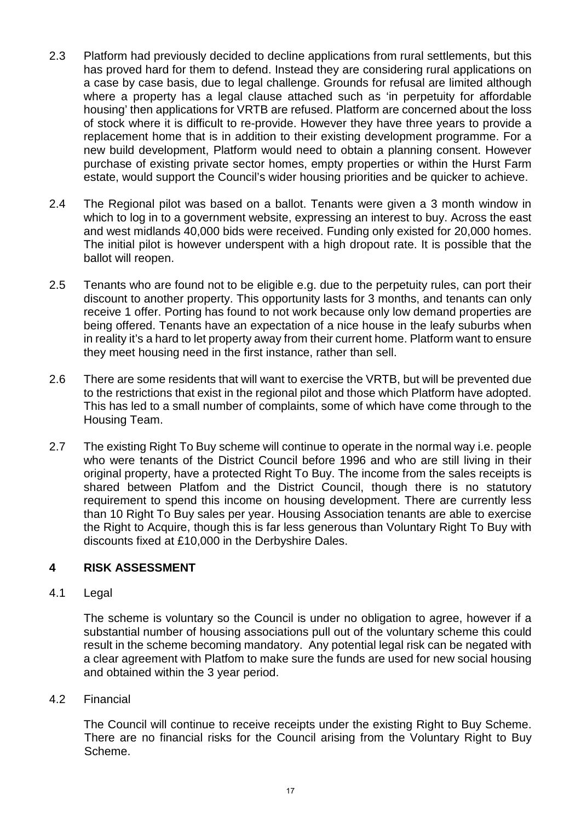- 2.3 Platform had previously decided to decline applications from rural settlements, but this has proved hard for them to defend. Instead they are considering rural applications on a case by case basis, due to legal challenge. Grounds for refusal are limited although where a property has a legal clause attached such as 'in perpetuity for affordable housing' then applications for VRTB are refused. Platform are concerned about the loss of stock where it is difficult to re-provide. However they have three years to provide a replacement home that is in addition to their existing development programme. For a new build development, Platform would need to obtain a planning consent. However purchase of existing private sector homes, empty properties or within the Hurst Farm estate, would support the Council's wider housing priorities and be quicker to achieve.
- 2.4 The Regional pilot was based on a ballot. Tenants were given a 3 month window in which to log in to a government website, expressing an interest to buy. Across the east and west midlands 40,000 bids were received. Funding only existed for 20,000 homes. The initial pilot is however underspent with a high dropout rate. It is possible that the ballot will reopen.
- 2.5 Tenants who are found not to be eligible e.g. due to the perpetuity rules, can port their discount to another property. This opportunity lasts for 3 months, and tenants can only receive 1 offer. Porting has found to not work because only low demand properties are being offered. Tenants have an expectation of a nice house in the leafy suburbs when in reality it's a hard to let property away from their current home. Platform want to ensure they meet housing need in the first instance, rather than sell.
- 2.6 There are some residents that will want to exercise the VRTB, but will be prevented due to the restrictions that exist in the regional pilot and those which Platform have adopted. This has led to a small number of complaints, some of which have come through to the Housing Team.
- 2.7 The existing Right To Buy scheme will continue to operate in the normal way i.e. people who were tenants of the District Council before 1996 and who are still living in their original property, have a protected Right To Buy. The income from the sales receipts is shared between Platfom and the District Council, though there is no statutory requirement to spend this income on housing development. There are currently less than 10 Right To Buy sales per year. Housing Association tenants are able to exercise the Right to Acquire, though this is far less generous than Voluntary Right To Buy with discounts fixed at £10,000 in the Derbyshire Dales.

### **4 RISK ASSESSMENT**

#### 4.1 Legal

The scheme is voluntary so the Council is under no obligation to agree, however if a substantial number of housing associations pull out of the voluntary scheme this could result in the scheme becoming mandatory. Any potential legal risk can be negated with a clear agreement with Platfom to make sure the funds are used for new social housing and obtained within the 3 year period.

4.2 Financial

The Council will continue to receive receipts under the existing Right to Buy Scheme. There are no financial risks for the Council arising from the Voluntary Right to Buy Scheme.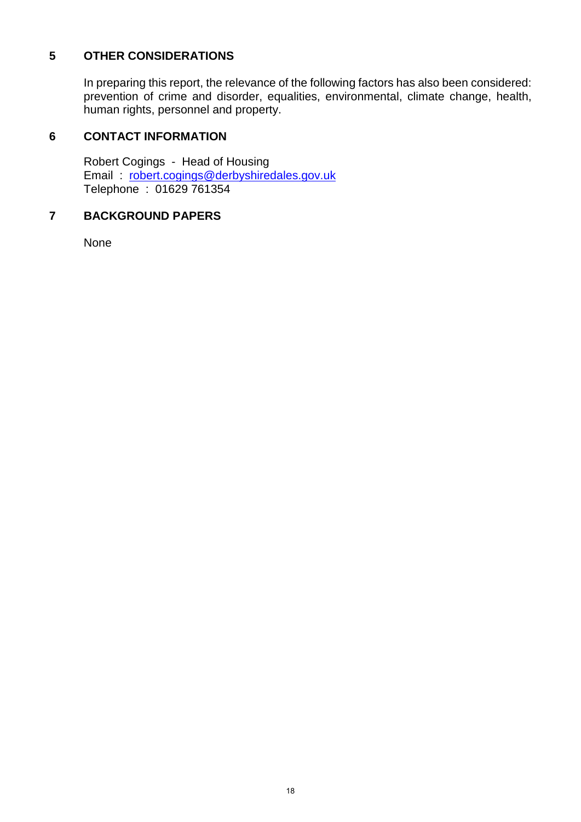#### **5 OTHER CONSIDERATIONS**

In preparing this report, the relevance of the following factors has also been considered: prevention of crime and disorder, equalities, environmental, climate change, health, human rights, personnel and property.

### **6 CONTACT INFORMATION**

Robert Cogings - Head of Housing Email : [robert.cogings@derbyshiredales.gov.uk](mailto:robert.cogings@derbyshiredales.gov.uk) Telephone : 01629 761354

#### **7 BACKGROUND PAPERS**

None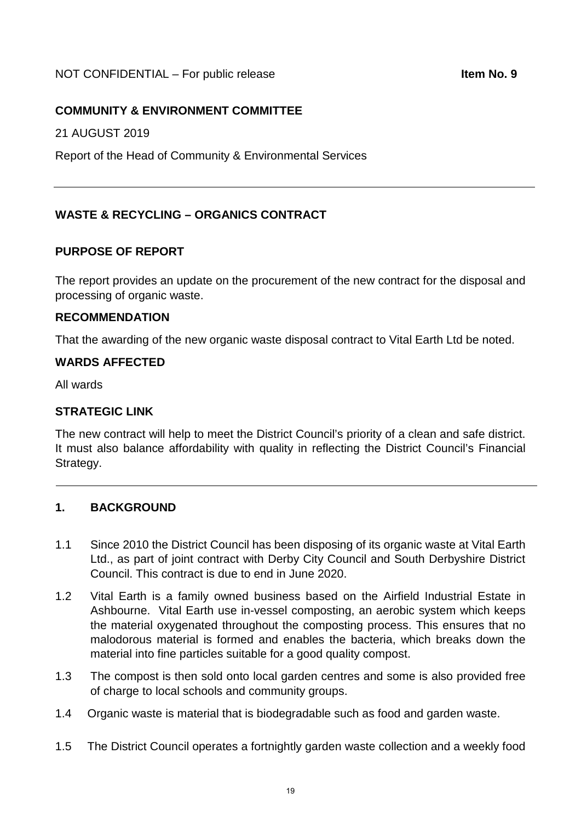#### <span id="page-18-0"></span>NOT CONFIDENTIAL – For public release **Internal Confidential Litem No. 9**

#### **COMMUNITY & ENVIRONMENT COMMITTEE**

21 AUGUST 2019

Report of the Head of Community & Environmental Services

#### **WASTE & RECYCLING – ORGANICS CONTRACT**

#### **PURPOSE OF REPORT**

The report provides an update on the procurement of the new contract for the disposal and processing of organic waste.

#### **RECOMMENDATION**

That the awarding of the new organic waste disposal contract to Vital Earth Ltd be noted.

#### **WARDS AFFECTED**

All wards

#### **STRATEGIC LINK**

The new contract will help to meet the District Council's priority of a clean and safe district. It must also balance affordability with quality in reflecting the District Council's Financial Strategy.

#### **1. BACKGROUND**

- 1.1 Since 2010 the District Council has been disposing of its organic waste at Vital Earth Ltd., as part of joint contract with Derby City Council and South Derbyshire District Council. This contract is due to end in June 2020.
- 1.2 Vital Earth is a family owned business based on the Airfield Industrial Estate in Ashbourne. Vital Earth use in-vessel composting, an aerobic system which keeps the material oxygenated throughout the composting process. This ensures that no malodorous material is formed and enables the bacteria, which breaks down the material into fine particles suitable for a good quality compost.
- 1.3 The compost is then sold onto local garden centres and some is also provided free of charge to local schools and community groups.
- 1.4 Organic waste is material that is biodegradable such as food and garden waste.
- 1.5 The District Council operates a fortnightly garden waste collection and a weekly food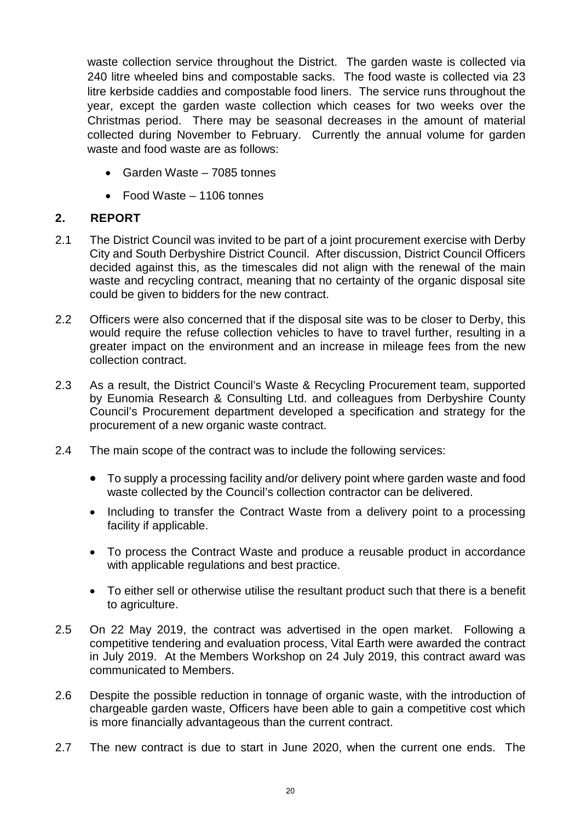waste collection service throughout the District. The garden waste is collected via 240 litre wheeled bins and compostable sacks. The food waste is collected via 23 litre kerbside caddies and compostable food liners. The service runs throughout the year, except the garden waste collection which ceases for two weeks over the Christmas period. There may be seasonal decreases in the amount of material collected during November to February. Currently the annual volume for garden waste and food waste are as follows:

- Garden Waste 7085 tonnes
- Food Waste 1106 tonnes

### **2. REPORT**

- 2.1 The District Council was invited to be part of a joint procurement exercise with Derby City and South Derbyshire District Council. After discussion, District Council Officers decided against this, as the timescales did not align with the renewal of the main waste and recycling contract, meaning that no certainty of the organic disposal site could be given to bidders for the new contract.
- 2.2 Officers were also concerned that if the disposal site was to be closer to Derby, this would require the refuse collection vehicles to have to travel further, resulting in a greater impact on the environment and an increase in mileage fees from the new collection contract.
- 2.3 As a result, the District Council's Waste & Recycling Procurement team, supported by Eunomia Research & Consulting Ltd. and colleagues from Derbyshire County Council's Procurement department developed a specification and strategy for the procurement of a new organic waste contract.
- 2.4 The main scope of the contract was to include the following services:
	- To supply a processing facility and/or delivery point where garden waste and food waste collected by the Council's collection contractor can be delivered.
	- Including to transfer the Contract Waste from a delivery point to a processing facility if applicable.
	- To process the Contract Waste and produce a reusable product in accordance with applicable regulations and best practice.
	- To either sell or otherwise utilise the resultant product such that there is a benefit to agriculture.
- 2.5 On 22 May 2019, the contract was advertised in the open market. Following a competitive tendering and evaluation process, Vital Earth were awarded the contract in July 2019. At the Members Workshop on 24 July 2019, this contract award was communicated to Members.
- 2.6 Despite the possible reduction in tonnage of organic waste, with the introduction of chargeable garden waste, Officers have been able to gain a competitive cost which is more financially advantageous than the current contract.
- 2.7 The new contract is due to start in June 2020, when the current one ends. The